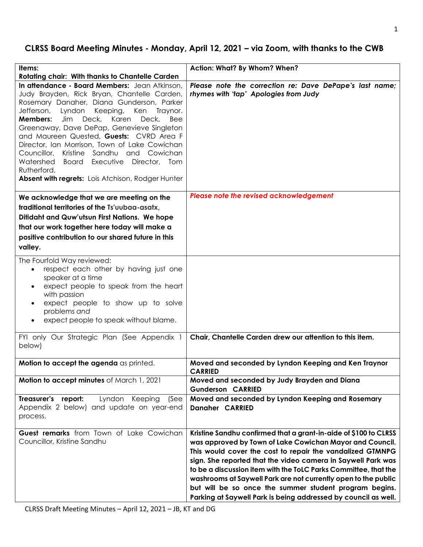# **CLRSS Board Meeting Minutes - Monday, April 12, 2021 – via Zoom, with thanks to the CWB**

| Items:                                                                                                                                                                                                                                                                                                                                                                                                                                                                                                                                                            | Action: What? By Whom? When?                                                                                                                                                                                                                                                                                                                                                                                                                                                                                               |
|-------------------------------------------------------------------------------------------------------------------------------------------------------------------------------------------------------------------------------------------------------------------------------------------------------------------------------------------------------------------------------------------------------------------------------------------------------------------------------------------------------------------------------------------------------------------|----------------------------------------------------------------------------------------------------------------------------------------------------------------------------------------------------------------------------------------------------------------------------------------------------------------------------------------------------------------------------------------------------------------------------------------------------------------------------------------------------------------------------|
| Rotating chair: With thanks to Chantelle Carden                                                                                                                                                                                                                                                                                                                                                                                                                                                                                                                   |                                                                                                                                                                                                                                                                                                                                                                                                                                                                                                                            |
| In attendance - Board Members: Jean Atkinson,<br>Judy Brayden, Rick Bryan, Chantelle Carden,<br>Rosemary Danaher, Diana Gunderson, Parker<br>Jefferson,<br>Lyndon<br>Keeping,<br>Ken<br>Traynor.<br>Members:<br>Deck,<br>Karen<br>Deck,<br>Jim<br>Bee<br>Greenaway, Dave DePap, Genevieve Singleton<br>and Maureen Quested, Guests: CVRD Area F<br>Director, Ian Morrison, Town of Lake Cowichan<br>Kristine Sandhu and Cowichan<br>Councillor,<br>Watershed<br>Board Executive Director, Tom<br>Rutherford.<br>Absent with regrets: Lois Atchison, Rodger Hunter | Please note the correction re: Dave DePape's last name;<br>rhymes with 'tap' Apologies from Judy                                                                                                                                                                                                                                                                                                                                                                                                                           |
| We acknowledge that we are meeting on the<br>traditional territories of the Ts'uubaa-asatx,<br>Ditidaht and Quw'utsun First Nations. We hope<br>that our work together here today will make a<br>positive contribution to our shared future in this<br>valley.                                                                                                                                                                                                                                                                                                    | Please note the revised acknowledgement                                                                                                                                                                                                                                                                                                                                                                                                                                                                                    |
| The Fourfold Way reviewed:<br>respect each other by having just one<br>$\bullet$<br>speaker at a time<br>expect people to speak from the heart<br>$\bullet$<br>with passion<br>expect people to show up to solve<br>problems and<br>expect people to speak without blame.                                                                                                                                                                                                                                                                                         |                                                                                                                                                                                                                                                                                                                                                                                                                                                                                                                            |
| FYI only Our Strategic Plan (See Appendix 1<br>below)                                                                                                                                                                                                                                                                                                                                                                                                                                                                                                             | Chair, Chantelle Carden drew our attention to this item.                                                                                                                                                                                                                                                                                                                                                                                                                                                                   |
| Motion to accept the agenda as printed.                                                                                                                                                                                                                                                                                                                                                                                                                                                                                                                           | Moved and seconded by Lyndon Keeping and Ken Traynor<br><b>CARRIED</b>                                                                                                                                                                                                                                                                                                                                                                                                                                                     |
| Motion to accept minutes of March 1, 2021                                                                                                                                                                                                                                                                                                                                                                                                                                                                                                                         | Moved and seconded by Judy Brayden and Diana<br><b>Gunderson CARRIED</b>                                                                                                                                                                                                                                                                                                                                                                                                                                                   |
| Treasurer's report:<br>Lyndon<br>Keeping<br>(See<br>Appendix 2 below) and update on year-end<br>process.                                                                                                                                                                                                                                                                                                                                                                                                                                                          | Moved and seconded by Lyndon Keeping and Rosemary<br><b>Danaher CARRIED</b>                                                                                                                                                                                                                                                                                                                                                                                                                                                |
| Guest remarks from Town of Lake Cowichan<br>Councillor, Kristine Sandhu                                                                                                                                                                                                                                                                                                                                                                                                                                                                                           | Kristine Sandhu confirmed that a grant-in-aide of \$100 to CLRSS<br>was approved by Town of Lake Cowichan Mayor and Council.<br>This would cover the cost to repair the vandalized GTMNPG<br>sign. She reported that the video camera in Saywell Park was<br>to be a discussion item with the ToLC Parks Committee, that the<br>washrooms at Saywell Park are not currently open to the public<br>but will be so once the summer student program begins.<br>Parking at Saywell Park is being addressed by council as well. |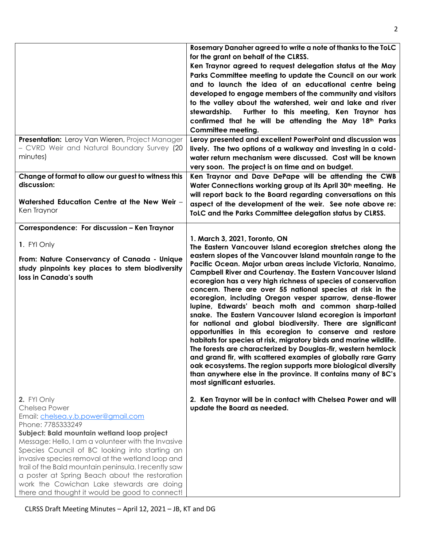|                                                      | Rosemary Danaher agreed to write a note of thanks to the ToLC<br>for the grant on behalf of the CLRSS.                 |
|------------------------------------------------------|------------------------------------------------------------------------------------------------------------------------|
|                                                      | Ken Traynor agreed to request delegation status at the May                                                             |
|                                                      | Parks Committee meeting to update the Council on our work                                                              |
|                                                      | and to launch the idea of an educational centre being                                                                  |
|                                                      | developed to engage members of the community and visitors                                                              |
|                                                      | to the valley about the watershed, weir and lake and river                                                             |
|                                                      | Further to this meeting, Ken Traynor has<br>stewardship.                                                               |
|                                                      | confirmed that he will be attending the May 18th Parks                                                                 |
|                                                      | <b>Committee meeting.</b>                                                                                              |
| Presentation: Leroy Van Wieren, Project Manager      | Leroy presented and excellent PowerPoint and discussion was                                                            |
| - CVRD Weir and Natural Boundary Survey (20          | lively. The two options of a walkway and investing in a cold-                                                          |
| minutes)                                             | water return mechanism were discussed. Cost will be known                                                              |
|                                                      |                                                                                                                        |
| Change of format to allow our guest to witness this  | very soon. The project is on time and on budget.<br>Ken Traynor and Dave DePape will be attending the CWB              |
| discussion:                                          | Water Connections working group at its April 30 <sup>th</sup> meeting. He                                              |
|                                                      | will report back to the Board regarding conversations on this                                                          |
| Watershed Education Centre at the New Weir -         | aspect of the development of the weir. See note above re:                                                              |
| Ken Traynor                                          | ToLC and the Parks Committee delegation status by CLRSS.                                                               |
|                                                      |                                                                                                                        |
| Correspondence: For discussion - Ken Traynor         |                                                                                                                        |
|                                                      | 1. March 3, 2021, Toronto, ON                                                                                          |
| 1. FYI Only                                          | The Eastern Vancouver Island ecoregion stretches along the                                                             |
| From: Nature Conservancy of Canada - Unique          | eastern slopes of the Vancouver Island mountain range to the                                                           |
| study pinpoints key places to stem biodiversity      | Pacific Ocean. Major urban areas include Victoria, Nanaimo,                                                            |
| loss in Canada's south                               | <b>Campbell River and Courtenay. The Eastern Vancouver Island</b>                                                      |
|                                                      | ecoregion has a very high richness of species of conservation                                                          |
|                                                      | concern. There are over 55 national species at risk in the<br>ecoregion, including Oregon vesper sparrow, dense-flower |
|                                                      | lupine, Edwards' beach moth and common sharp-tailed                                                                    |
|                                                      | snake. The Eastern Vancouver Island ecoregion is important                                                             |
|                                                      | for national and global biodiversity. There are significant                                                            |
|                                                      | opportunities in this ecoregion to conserve and restore                                                                |
|                                                      | habitats for species at risk, migratory birds and marine wildlife.                                                     |
|                                                      | The forests are characterized by Douglas-fir, western hemlock                                                          |
|                                                      | and grand fir, with scattered examples of globally rare Garry                                                          |
|                                                      | oak ecosystems. The region supports more biological diversity                                                          |
|                                                      | than anywhere else in the province. It contains many of BC's                                                           |
|                                                      | most significant estuaries.                                                                                            |
| 2. FYI Only                                          | 2. Ken Traynor will be in contact with Chelsea Power and will                                                          |
| Chelsea Power                                        | update the Board as needed.                                                                                            |
| Email: chelsea.y.b.power@gmail.com                   |                                                                                                                        |
| Phone: 7785333249                                    |                                                                                                                        |
| Subject: Bald mountain wetland loop project          |                                                                                                                        |
| Message: Hello, I am a volunteer with the Invasive   |                                                                                                                        |
| Species Council of BC looking into starting an       |                                                                                                                        |
| invasive species removal at the wetland loop and     |                                                                                                                        |
| trail of the Bald mountain peninsula. I recently saw |                                                                                                                        |
| a poster at Spring Beach about the restoration       |                                                                                                                        |
| work the Cowichan Lake stewards are doing            |                                                                                                                        |
| there and thought it would be good to connect!       |                                                                                                                        |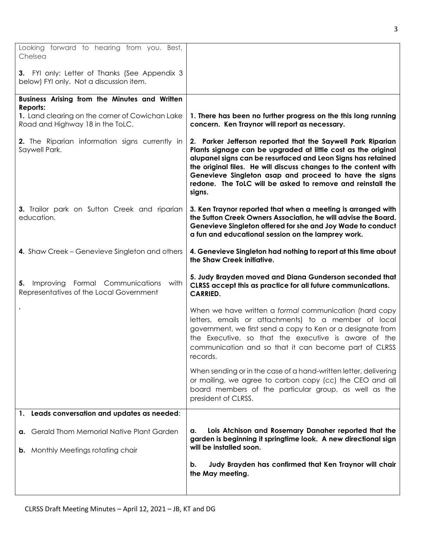| Looking forward to hearing from you. Best,<br>Chelsea                                    |                                                                                                                                                                                                                                                                                                                                                                                                   |
|------------------------------------------------------------------------------------------|---------------------------------------------------------------------------------------------------------------------------------------------------------------------------------------------------------------------------------------------------------------------------------------------------------------------------------------------------------------------------------------------------|
| 3. FYI only: Letter of Thanks (See Appendix 3<br>below) FYI only. Not a discussion item. |                                                                                                                                                                                                                                                                                                                                                                                                   |
| Business Arising from the Minutes and Written<br>Reports:                                |                                                                                                                                                                                                                                                                                                                                                                                                   |
| 1. Land clearing on the corner of Cowichan Lake<br>Road and Highway 18 in the ToLC.      | 1. There has been no further progress on the this long running<br>concern. Ken Traynor will report as necessary.                                                                                                                                                                                                                                                                                  |
| 2. The Riparian information signs currently in<br>Saywell Park.                          | 2. Parker Jefferson reported that the Saywell Park Riparian<br>Plants signage can be upgraded at little cost as the original<br>alupanel signs can be resurfaced and Leon Signs has retained<br>the original files. He will discuss changes to the content with<br>Genevieve Singleton asap and proceed to have the signs<br>redone. The ToLC will be asked to remove and reinstall the<br>signs. |
| 3. Trailor park on Sutton Creek and riparian<br>education.                               | 3. Ken Traynor reported that when a meeting is arranged with<br>the Sutton Creek Owners Association, he will advise the Board.<br>Genevieve Singleton offered for she and Joy Wade to conduct<br>a fun and educational session on the lamprey work.                                                                                                                                               |
| 4. Shaw Creek – Genevieve Singleton and others                                           | 4. Genevieve Singleton had nothing to report at this time about<br>the Shaw Creek initiative.                                                                                                                                                                                                                                                                                                     |
| Improving Formal Communications with<br>5.<br>Representatives of the Local Government    | 5. Judy Brayden moved and Diana Gunderson seconded that<br>CLRSS accept this as practice for all future communications.<br><b>CARRIED.</b>                                                                                                                                                                                                                                                        |
|                                                                                          | When we have written a formal communication (hard copy<br>letters, emails or attachments) to a member of local<br>government, we first send a copy to Ken or a designate from<br>the Executive, so that the executive is aware of the<br>communication and so that it can become part of CLRSS<br>records.                                                                                        |
|                                                                                          | When sending or in the case of a hand-written letter, delivering<br>or mailing, we agree to carbon copy (cc) the CEO and all<br>board members of the particular group, as well as the<br>president of CLRSS.                                                                                                                                                                                      |
| 1. Leads conversation and updates as needed:                                             |                                                                                                                                                                                                                                                                                                                                                                                                   |
| a. Gerald Thom Memorial Native Plant Garden                                              | Lois Atchison and Rosemary Danaher reported that the<br>а.<br>garden is beginning it springtime look. A new directional sign                                                                                                                                                                                                                                                                      |
| <b>b.</b> Monthly Meetings rotating chair                                                | will be installed soon.                                                                                                                                                                                                                                                                                                                                                                           |
|                                                                                          | Judy Brayden has confirmed that Ken Traynor will chair<br>b.<br>the May meeting.                                                                                                                                                                                                                                                                                                                  |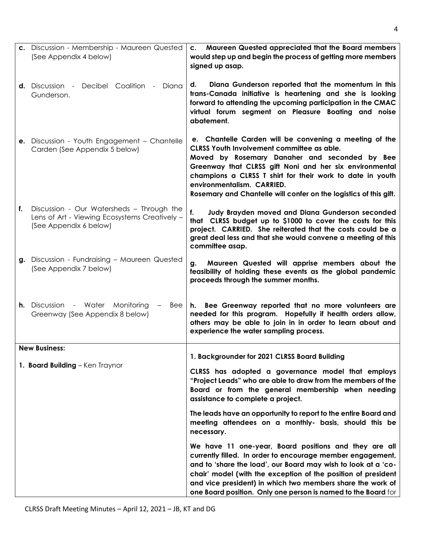|    | c. Discussion - Membership - Maureen Quested<br>(See Appendix 4 below)                                               | c. Maureen Quested appreciated that the Board members<br>would step up and begin the process of getting more members<br>signed up asap.                                                                                                                                                                                                                                              |
|----|----------------------------------------------------------------------------------------------------------------------|--------------------------------------------------------------------------------------------------------------------------------------------------------------------------------------------------------------------------------------------------------------------------------------------------------------------------------------------------------------------------------------|
|    | <b>d.</b> Discussion - Decibel Coalition -<br>Diana<br>Gunderson.                                                    | Diana Gunderson reported that the momentum in this<br>d.<br>trans-Canada initiative is heartening and she is looking<br>forward to attending the upcoming participation in the CMAC<br>virtual forum segment on Pleasure Boating and noise<br>abatement.                                                                                                                             |
|    | <b>e.</b> Discussion - Youth Engagement - Chantelle<br>Carden (See Appendix 5 below)                                 | e. Chantelle Carden will be convening a meeting of the<br>CLRSS Youth Involvement committee as able.<br>Moved by Rosemary Danaher and seconded by Bee<br>Greenway that CLRSS gift Noni and her six environmental<br>champions a CLRSS T shirt for their work to date in youth<br>environmentalism. CARRIED.<br>Rosemary and Chantelle will confer on the logistics of this gift.     |
| f. | Discussion - Our Watersheds - Through the<br>Lens of Art - Viewing Ecosystems Creatively -<br>(See Appendix 6 below) | Judy Brayden moved and Diana Gunderson seconded<br>f.<br>that CLRSS budget up to \$1000 to cover the costs for this<br>project. CARRIED. She reiterated that the costs could be a<br>great deal less and that she would convene a meeting of this<br>committee asap.                                                                                                                 |
|    | g. Discussion - Fundraising - Maureen Quested<br>(See Appendix 7 below)                                              | Maureen Quested will apprise members about the<br>q.<br>feasibility of holding these events as the global pandemic<br>proceeds through the summer months.                                                                                                                                                                                                                            |
|    | <b>h.</b> Discussion - Water Monitoring<br>Bee<br>Greenway (See Appendix 8 below)                                    | h. Bee Greenway reported that no more volunteers are<br>needed for this program. Hopefully if health orders allow,<br>others may be able to join in in order to learn about and<br>experience the water sampling process.                                                                                                                                                            |
|    | <b>New Business:</b>                                                                                                 | 1. Backgrounder for 2021 CLRSS Board Building                                                                                                                                                                                                                                                                                                                                        |
|    | 1. Board Building - Ken Traynor                                                                                      | CLRSS has adopted a governance model that employs<br>"Project Leads" who are able to draw from the members of the<br>Board or from the general membership when needing<br>assistance to complete a project.                                                                                                                                                                          |
|    |                                                                                                                      | The leads have an opportunity to report to the entire Board and<br>meeting attendees on a monthly- basis, should this be<br>necessary.                                                                                                                                                                                                                                               |
|    |                                                                                                                      | We have 11 one-year, Board positions and they are all<br>currently filled. In order to encourage member engagement,<br>and to 'share the load', our Board may wish to look at a 'co-<br>chair' model (with the exception of the position of president<br>and vice president) in which two members share the work of<br>one Board position. Only one person is named to the Board for |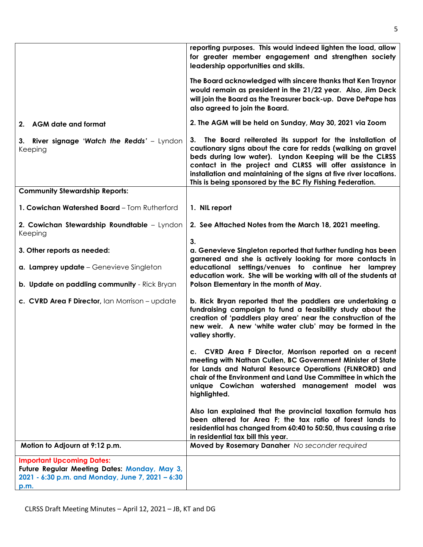|                                                                                                                                              | reporting purposes. This would indeed lighten the load, allow<br>for greater member engagement and strengthen society<br>leadership opportunities and skills.                                                                                                                                                                                                                              |
|----------------------------------------------------------------------------------------------------------------------------------------------|--------------------------------------------------------------------------------------------------------------------------------------------------------------------------------------------------------------------------------------------------------------------------------------------------------------------------------------------------------------------------------------------|
|                                                                                                                                              | The Board acknowledged with sincere thanks that Ken Traynor<br>would remain as president in the 21/22 year. Also, Jim Deck<br>will join the Board as the Treasurer back-up. Dave DePape has<br>also agreed to join the Board.                                                                                                                                                              |
| 2. AGM date and format                                                                                                                       | 2. The AGM will be held on Sunday, May 30, 2021 via Zoom                                                                                                                                                                                                                                                                                                                                   |
| 3. River signage 'Watch the Redds' - Lyndon<br>Keeping                                                                                       | The Board reiterated its support for the installation of<br>3.<br>cautionary signs about the care for redds (walking on gravel<br>beds during low water). Lyndon Keeping will be the CLRSS<br>contact in the project and CLRSS will offer assistance in<br>installation and maintaining of the signs at five river locations.<br>This is being sponsored by the BC Fly Fishing Federation. |
| <b>Community Stewardship Reports:</b>                                                                                                        |                                                                                                                                                                                                                                                                                                                                                                                            |
| 1. Cowichan Watershed Board - Tom Rutherford                                                                                                 | 1. NIL report                                                                                                                                                                                                                                                                                                                                                                              |
| 2. Cowichan Stewardship Roundtable - Lyndon<br>Keeping                                                                                       | 2. See Attached Notes from the March 18, 2021 meeting.                                                                                                                                                                                                                                                                                                                                     |
| 3. Other reports as needed:                                                                                                                  | 3.<br>a. Genevieve Singleton reported that further funding has been                                                                                                                                                                                                                                                                                                                        |
|                                                                                                                                              | garnered and she is actively looking for more contacts in                                                                                                                                                                                                                                                                                                                                  |
| a. Lamprey update - Genevieve Singleton<br>b. Update on paddling community - Rick Bryan                                                      | educational settings/venues to continue her lamprey<br>education work. She will be working with all of the students at<br>Polson Elementary in the month of May.                                                                                                                                                                                                                           |
| c. CVRD Area F Director, Ian Morrison - update                                                                                               | b. Rick Bryan reported that the paddlers are undertaking a<br>fundraising campaign to fund a feasibility study about the<br>creation of 'paddlers play area' near the construction of the<br>new weir. A new 'white water club' may be formed in the<br>valley shortly.                                                                                                                    |
|                                                                                                                                              | c. CVRD Area F Director, Morrison reported on a recent<br>meeting with Nathan Cullen, BC Government Minister of State<br>for Lands and Natural Resource Operations (FLNRORD) and<br>chair of the Environment and Land Use Committee in which the<br>unique Cowichan watershed management model was<br>highlighted.                                                                         |
|                                                                                                                                              | Also Ian explained that the provincial taxation formula has<br>been altered for Area F; the tax ratio of forest lands to<br>residential has changed from 60:40 to 50:50, thus causing a rise<br>in residential tax bill this year.                                                                                                                                                         |
| Motion to Adjourn at 9:12 p.m.                                                                                                               | Moved by Rosemary Danaher No seconder required                                                                                                                                                                                                                                                                                                                                             |
| <b>Important Upcoming Dates:</b><br>Future Regular Meeting Dates: Monday, May 3,<br>2021 - 6:30 p.m. and Monday, June 7, 2021 - 6:30<br>p.m. |                                                                                                                                                                                                                                                                                                                                                                                            |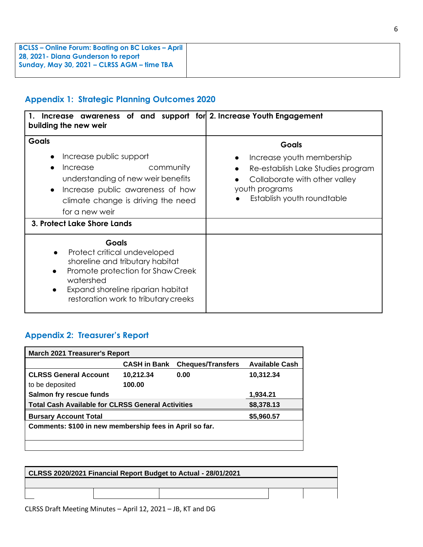| <b>BCLSS – Online Forum: Boating on BC Lakes – April</b> |
|----------------------------------------------------------|
| 28, 2021 - Diana Gunderson to report                     |
| Sunday, May 30, 2021 - CLRSS AGM - time TBA              |
|                                                          |

# **Appendix 1: Strategic Planning Outcomes 2020**

| Increase awareness of and support for 2. Increase Youth Engagement<br>building the new weir                                                                                                                                 |                                                                                                                                                          |
|-----------------------------------------------------------------------------------------------------------------------------------------------------------------------------------------------------------------------------|----------------------------------------------------------------------------------------------------------------------------------------------------------|
| Goals<br>Increase public support<br>community<br>Increase<br>understanding of new weir benefits<br>Increase public awareness of how<br>$\bullet$<br>climate change is driving the need<br>for a new weir                    | Goals<br>Increase youth membership<br>Re-establish Lake Studies program<br>Collaborate with other valley<br>youth programs<br>Establish youth roundtable |
| 3. Protect Lake Shore Lands                                                                                                                                                                                                 |                                                                                                                                                          |
| <b>Goals</b><br>Protect critical undeveloped<br>$\bullet$<br>shoreline and tributary habitat<br>Promote protection for Shaw Creek<br>watershed<br>Expand shoreline riparian habitat<br>restoration work to tributary creeks |                                                                                                                                                          |

# **Appendix 2: Treasurer's Report**

| March 2021 Treasurer's Report                            |                     |                          |                       |  |  |  |
|----------------------------------------------------------|---------------------|--------------------------|-----------------------|--|--|--|
|                                                          | <b>CASH in Bank</b> | <b>Cheques/Transfers</b> | <b>Available Cash</b> |  |  |  |
| <b>CLRSS General Account</b>                             | 10,212.34           | 0.00                     | 10,312.34             |  |  |  |
| to be deposited                                          | 100.00              |                          |                       |  |  |  |
| Salmon fry rescue funds<br>1,934.21                      |                     |                          |                       |  |  |  |
| <b>Total Cash Available for CLRSS General Activities</b> |                     |                          | \$8,378.13            |  |  |  |
| \$5,960.57<br><b>Bursary Account Total</b>               |                     |                          |                       |  |  |  |
| Comments: \$100 in new membership fees in April so far.  |                     |                          |                       |  |  |  |
|                                                          |                     |                          |                       |  |  |  |
|                                                          |                     |                          |                       |  |  |  |

| CLRSS 2020/2021 Financial Report Budget to Actual - 28/01/2021 |  |  |  |  |
|----------------------------------------------------------------|--|--|--|--|
|                                                                |  |  |  |  |
|                                                                |  |  |  |  |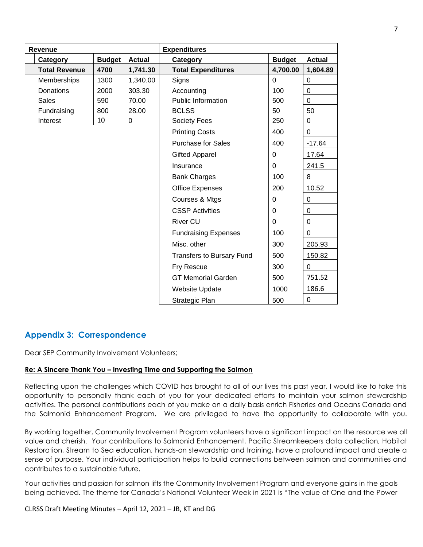| <b>Expenditures</b><br>Revenue |               |               |                                  |                |               |
|--------------------------------|---------------|---------------|----------------------------------|----------------|---------------|
| Category                       | <b>Budget</b> | <b>Actual</b> | Category                         | <b>Budget</b>  | <b>Actual</b> |
| <b>Total Revenue</b>           | 4700          | 1,741.30      | <b>Total Expenditures</b>        | 4,700.00       | 1,604.89      |
| Memberships                    | 1300          | 1,340.00      | Signs                            | $\overline{0}$ | $\mathbf 0$   |
| Donations                      | 2000          | 303.30        | Accounting                       | 100            | $\mathbf 0$   |
| <b>Sales</b>                   | 590           | 70.00         | <b>Public Information</b>        | 500            | $\mathbf 0$   |
| Fundraising                    | 800           | 28.00         | <b>BCLSS</b>                     | 50             | 50            |
| Interest                       | 10            | 0             | Society Fees                     | 250            | $\pmb{0}$     |
|                                |               |               | <b>Printing Costs</b>            | 400            | $\mathbf 0$   |
|                                |               |               | <b>Purchase for Sales</b>        | 400            | $-17.64$      |
|                                |               |               | <b>Gifted Apparel</b>            | $\Omega$       | 17.64         |
|                                |               |               | Insurance                        | $\Omega$       | 241.5         |
|                                |               |               | <b>Bank Charges</b>              | 100            | 8             |
|                                |               |               | <b>Office Expenses</b>           | 200            | 10.52         |
|                                |               |               | Courses & Mtgs                   | $\Omega$       | 0             |
|                                |               |               | <b>CSSP Activities</b>           | 0              | 0             |
|                                |               |               | <b>River CU</b>                  | $\Omega$       | 0             |
|                                |               |               | <b>Fundraising Expenses</b>      | 100            | $\Omega$      |
|                                |               |               | Misc. other                      | 300            | 205.93        |
|                                |               |               | <b>Transfers to Bursary Fund</b> | 500            | 150.82        |
|                                |               |               | Fry Rescue                       | 300            | $\Omega$      |
|                                |               |               | <b>GT Memorial Garden</b>        | 500            | 751.52        |
|                                |               |               | <b>Website Update</b>            | 1000           | 186.6         |
|                                |               |               | Strategic Plan                   | 500            | 0             |

# **Appendix 3: Correspondence**

Dear SEP Community Involvement Volunteers;

#### **Re: A Sincere Thank You – Investing Time and Supporting the Salmon**

Reflecting upon the challenges which COVID has brought to all of our lives this past year, I would like to take this opportunity to personally thank each of you for your dedicated efforts to maintain your salmon stewardship activities. The personal contributions each of you make on a daily basis enrich Fisheries and Oceans Canada and the Salmonid Enhancement Program. We are privileged to have the opportunity to collaborate with you.

By working together, Community Involvement Program volunteers have a significant impact on the resource we all value and cherish. Your contributions to Salmonid Enhancement, Pacific Streamkeepers data collection, Habitat Restoration, Stream to Sea education, hands-on stewardship and training, have a profound impact and create a sense of purpose. Your individual participation helps to build connections between salmon and communities and contributes to a sustainable future.

Your activities and passion for salmon lifts the Community Involvement Program and everyone gains in the goals being achieved. The theme for Canada's National Volunteer Week in 2021 is "The value of One and the Power

CLRSS Draft Meeting Minutes – April 12, 2021 – JB, KT and DG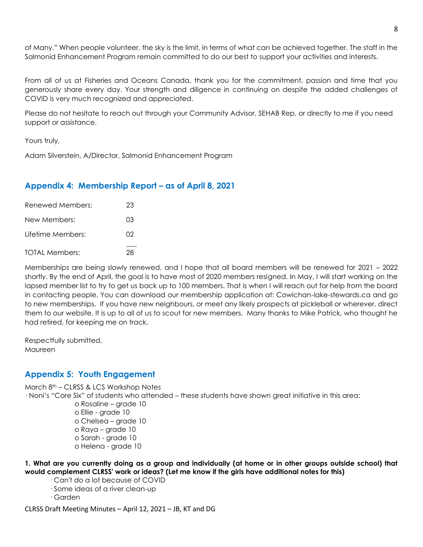of Many." When people volunteer, the sky is the limit, in terms of what can be achieved together. The staff in the Salmonid Enhancement Program remain committed to do our best to support your activities and interests.

From all of us at Fisheries and Oceans Canada, thank you for the commitment, passion and time that you generously share every day. Your strength and diligence in continuing on despite the added challenges of COVID is very much recognized and appreciated.

Please do not hesitate to reach out through your Community Advisor, SEHAB Rep, or directly to me if you need support or assistance.

Yours truly,

Adam Silverstein, A/Director, Salmonid Enhancement Program

# **Appendix 4: Membership Report – as of April 8, 2021**

| Renewed Members:      | 23 |
|-----------------------|----|
| New Members:          | O3 |
| l ifetime Members:    | 02 |
| <b>TOTAL Members:</b> | 28 |

Memberships are being slowly renewed, and I hope that all board members will be renewed for 2021 – 2022 shortly. By the end of April, the goal is to have most of 2020 members resigned. In May, I will start working on the lapsed member list to try to get us back up to 100 members. That is when I will reach out for help from the board in contacting people. You can download our membership application at: Cowichan-lake-stewards.ca and go to new memberships. If you have new neighbours, or meet any likely prospects at pickleball or wherever, direct them to our website. It is up to all of us to scout for new members. Many thanks to Mike Patrick, who thought he had retired, for keeping me on track.

Respectfully submitted, **Maureen** 

# **Appendix 5: Youth Engagement**

March 8th – CLRSS & LCS Workshop Notes

· Noni's "Core Six" of students who attended – these students have shown great initiative in this area:

o Rosaline – grade 10 o Ellie - grade 10 o Chelsea – grade 10 o Raya – grade 10 o Sarah - grade 10 o Helena - grade 10

**1. What are you currently doing as a group and individually (at home or in other groups outside school) that would complement CLRSS' work or ideas? (Let me know if the girls have additional notes for this)**

- · Can't do a lot because of COVID
- · Some ideas of a river clean-up
- · Garden

CLRSS Draft Meeting Minutes – April 12, 2021 – JB, KT and DG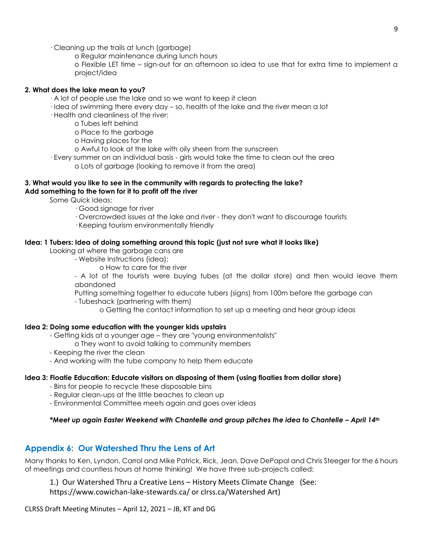· Cleaning up the trails at lunch (garbage)

o Regular maintenance during lunch hours

o Flexible LET time – sign-out for an afternoon so idea to use that for extra time to implement a project/idea

### **2. What does the lake mean to you?**

- · A lot of people use the lake and so we want to keep it clean
- · Idea of swimming there every day so, health of the lake and the river mean a lot
- · Health and cleanliness of the river:
	- o Tubes left behind
	- o Place to the garbage
	- o Having places for the
	- o Awful to look at the lake with oily sheen from the sunscreen
- · Every summer on an individual basis girls would take the time to clean out the area o Lots of garbage (looking to remove it from the area)

#### **3. What would you like to see in the community with regards to protecting the lake? Add something to the town for it to profit off the river**

Some Quick Ideas:

- · Good signage for river
- · Overcrowded issues at the lake and river they don't want to discourage tourists
- · Keeping tourism environmentally friendly

### **Idea: 1 Tubers: Idea of doing something around this topic (just not sure what it looks like)**

Looking at where the garbage cans are

- Website Instructions (idea):
	- o How to care for the river

- A lot of the tourists were buying tubes (at the dollar store) and then would leave them abandoned

Putting something together to educate tubers (signs) from 100m before the garbage can

- Tubeshack (partnering with them)
	- o Getting the contact information to set up a meeting and hear group ideas

### **Idea 2: Doing some education with the younger kids upstairs**

- Getting kids at a younger age they are "young environmentalists"
	- o They want to avoid talking to community members
- Keeping the river the clean
- And working with the tube company to help them educate

### **Idea 3: Floatie Education: Educate visitors on disposing of them (using floaties from dollar store)**

- Bins for people to recycle these disposable bins
- Regular clean-ups at the little beaches to clean up
- Environmental Committee meets again and goes over ideas

### *\*Meet up again Easter Weekend with Chantelle and group pitches the idea to Chantelle – April 14<sup>th</sup>*

# **Appendix 6: Our Watershed Thru the Lens of Art**

Many thanks to Ken, Lyndon, Carrol and Mike Patrick, Rick, Jean, Dave DePapal and Chris Steeger for the 6 hours of meetings and countless hours at home thinking! We have three sub-projects called:

1.) Our Watershed Thru a Creative Lens – History Meets Climate Change (See:

[https://www.cowichan-l](https://www.cowichan-/)ake-stewards.ca/ or clrss.ca/Watershed Art)

CLRSS Draft Meeting Minutes – April 12, 2021 – JB, KT and DG